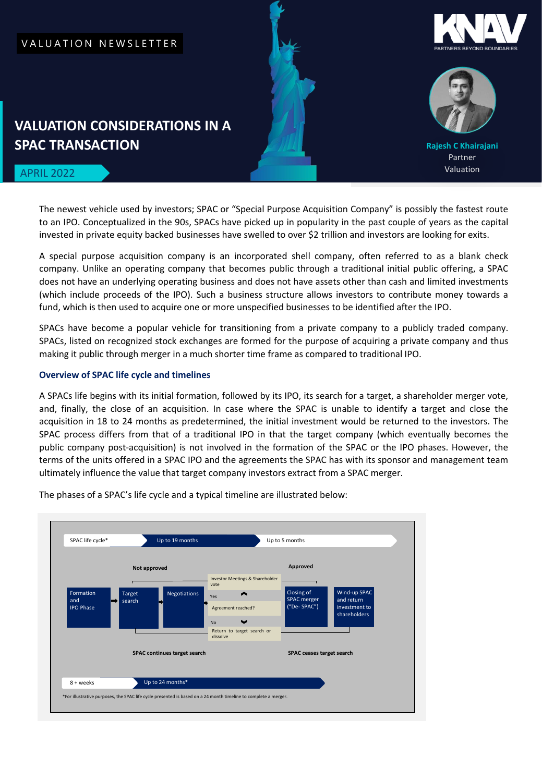## VALUATION NEWSLETTER





**Rajesh C Khairajani** Partner Valuation

# **SPAC TRANSACTION**

**VALUATION CONSIDERATIONS IN A** 

## APRIL 2022

The newest vehicle used by investors; SPAC or "Special Purpose Acquisition Company" is possibly the fastest route to an IPO. Conceptualized in the 90s, SPACs have picked up in popularity in the past couple of years as the capital invested in private equity backed businesses have swelled to over \$2 trillion and investors are looking for exits.

A special purpose acquisition company is an incorporated shell company, often referred to as a blank check company. Unlike an operating company that becomes public through a traditional initial public offering, a SPAC does not have an underlying operating business and does not have assets other than cash and limited investments (which include proceeds of the IPO). Such a business structure allows investors to contribute money towards a fund, which is then used to acquire one or more unspecified businesses to be identified after the IPO.

SPACs have become a popular vehicle for transitioning from a private company to a publicly traded company. SPACs, listed on recognized stock exchanges are formed for the purpose of acquiring a private company and thus making it public through merger in a much shorter time frame as compared to traditional IPO.

## **Overview of SPAC life cycle and timelines**

A SPACs life begins with its initial formation, followed by its IPO, its search for a target, a shareholder merger vote, and, finally, the close of an acquisition. In case where the SPAC is unable to identify a target and close the acquisition in 18 to 24 months as predetermined, the initial investment would be returned to the investors. The SPAC process differs from that of a traditional IPO in that the target company (which eventually becomes the public company post-acquisition) is not involved in the formation of the SPAC or the IPO phases. However, the terms of the units offered in a SPAC IPO and the agreements the SPAC has with its sponsor and management team ultimately influence the value that target company investors extract from a SPAC merger.



The phases of a SPAC's life cycle and a typical timeline are illustrated below: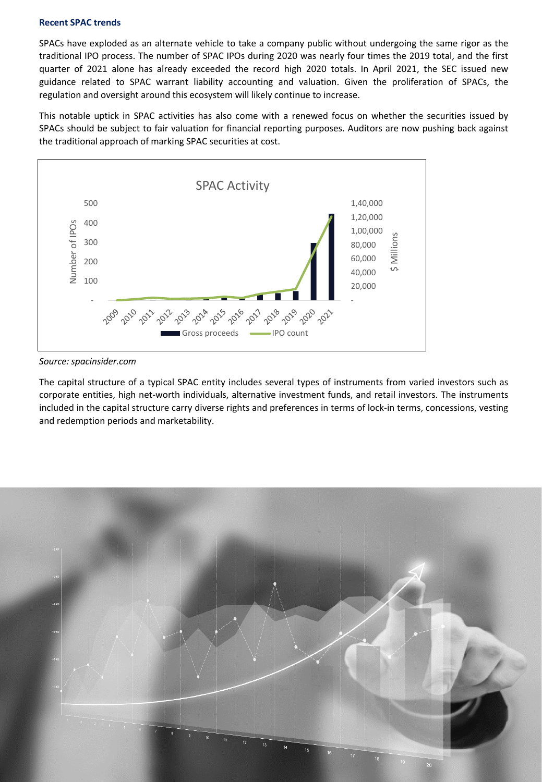#### **Recent SPAC trends**

SPACs have exploded as an alternate vehicle to take a company public without undergoing the same rigor as the traditional IPO process. The number of SPAC IPOs during 2020 was nearly four times the 2019 total, and the first quarter of 2021 alone has already exceeded the record high 2020 totals. In April 2021, the SEC issued new guidance related to SPAC warrant liability accounting and valuation. Given the proliferation of SPACs, the regulation and oversight around this ecosystem will likely continue to increase.

This notable uptick in SPAC activities has also come with a renewed focus on whether the securities issued by SPACs should be subject to fair valuation for financial reporting purposes. Auditors are now pushing back against the traditional approach of marking SPAC securities at cost.



*Source: spacinsider.com*

The capital structure of a typical SPAC entity includes several types of instruments from varied investors such as corporate entities, high net-worth individuals, alternative investment funds, and retail investors. The instruments included in the capital structure carry diverse rights and preferences in terms of lock-in terms, concessions, vesting and redemption periods and marketability.

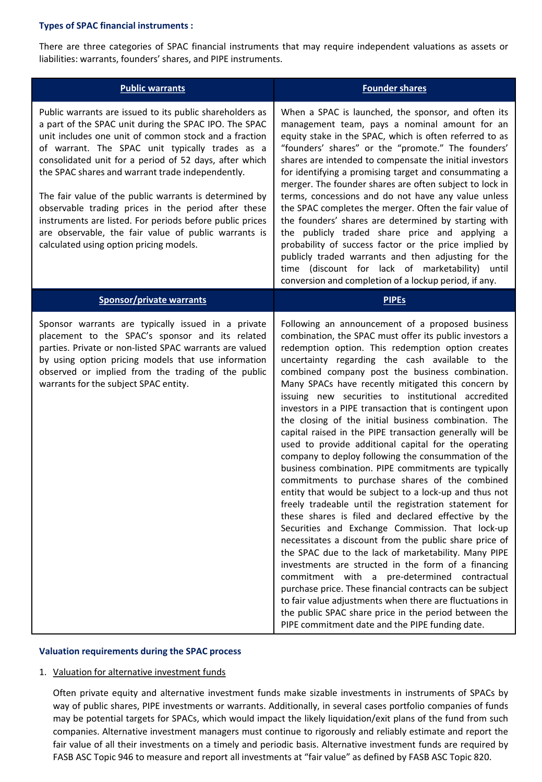## **Types of SPAC financial instruments :**

There are three categories of SPAC financial instruments that may require independent valuations as assets or liabilities: warrants, founders' shares, and PIPE instruments.

| <b>Public warrants</b>                                                                                                                                                                                                                                                                                                                                                                                                                                                                                                                                                                                                      | <b>Founder shares</b>                                                                                                                                                                                                                                                                                                                                                                                                                                                                                                                                                                                                                                                                                                                                                                                                                                                                                                                                                                                                                                                                                                                                                                                                                                                                                                                                                                                                                                                                 |
|-----------------------------------------------------------------------------------------------------------------------------------------------------------------------------------------------------------------------------------------------------------------------------------------------------------------------------------------------------------------------------------------------------------------------------------------------------------------------------------------------------------------------------------------------------------------------------------------------------------------------------|---------------------------------------------------------------------------------------------------------------------------------------------------------------------------------------------------------------------------------------------------------------------------------------------------------------------------------------------------------------------------------------------------------------------------------------------------------------------------------------------------------------------------------------------------------------------------------------------------------------------------------------------------------------------------------------------------------------------------------------------------------------------------------------------------------------------------------------------------------------------------------------------------------------------------------------------------------------------------------------------------------------------------------------------------------------------------------------------------------------------------------------------------------------------------------------------------------------------------------------------------------------------------------------------------------------------------------------------------------------------------------------------------------------------------------------------------------------------------------------|
| Public warrants are issued to its public shareholders as<br>a part of the SPAC unit during the SPAC IPO. The SPAC<br>unit includes one unit of common stock and a fraction<br>of warrant. The SPAC unit typically trades as a<br>consolidated unit for a period of 52 days, after which<br>the SPAC shares and warrant trade independently.<br>The fair value of the public warrants is determined by<br>observable trading prices in the period after these<br>instruments are listed. For periods before public prices<br>are observable, the fair value of public warrants is<br>calculated using option pricing models. | When a SPAC is launched, the sponsor, and often its<br>management team, pays a nominal amount for an<br>equity stake in the SPAC, which is often referred to as<br>"founders' shares" or the "promote." The founders'<br>shares are intended to compensate the initial investors<br>for identifying a promising target and consummating a<br>merger. The founder shares are often subject to lock in<br>terms, concessions and do not have any value unless<br>the SPAC completes the merger. Often the fair value of<br>the founders' shares are determined by starting with<br>the publicly traded share price and applying a<br>probability of success factor or the price implied by<br>publicly traded warrants and then adjusting for the<br>time (discount for lack of marketability) until<br>conversion and completion of a lockup period, if any.                                                                                                                                                                                                                                                                                                                                                                                                                                                                                                                                                                                                                           |
| <b>Sponsor/private warrants</b>                                                                                                                                                                                                                                                                                                                                                                                                                                                                                                                                                                                             | <b>PIPES</b>                                                                                                                                                                                                                                                                                                                                                                                                                                                                                                                                                                                                                                                                                                                                                                                                                                                                                                                                                                                                                                                                                                                                                                                                                                                                                                                                                                                                                                                                          |
| Sponsor warrants are typically issued in a private<br>placement to the SPAC's sponsor and its related<br>parties. Private or non-listed SPAC warrants are valued<br>by using option pricing models that use information<br>observed or implied from the trading of the public<br>warrants for the subject SPAC entity.                                                                                                                                                                                                                                                                                                      | Following an announcement of a proposed business<br>combination, the SPAC must offer its public investors a<br>redemption option. This redemption option creates<br>uncertainty regarding the cash available to the<br>combined company post the business combination.<br>Many SPACs have recently mitigated this concern by<br>issuing new securities to institutional accredited<br>investors in a PIPE transaction that is contingent upon<br>the closing of the initial business combination. The<br>capital raised in the PIPE transaction generally will be<br>used to provide additional capital for the operating<br>company to deploy following the consummation of the<br>business combination. PIPE commitments are typically<br>commitments to purchase shares of the combined<br>entity that would be subject to a lock-up and thus not<br>freely tradeable until the registration statement for<br>these shares is filed and declared effective by the<br>Securities and Exchange Commission. That lock-up<br>necessitates a discount from the public share price of<br>the SPAC due to the lack of marketability. Many PIPE<br>investments are structed in the form of a financing<br>commitment with a pre-determined contractual<br>purchase price. These financial contracts can be subject<br>to fair value adjustments when there are fluctuations in<br>the public SPAC share price in the period between the<br>PIPE commitment date and the PIPE funding date. |

## **Valuation requirements during the SPAC process**

#### 1. Valuation for alternative investment funds

Often private equity and alternative investment funds make sizable investments in instruments of SPACs by way of public shares, PIPE investments or warrants. Additionally, in several cases portfolio companies of funds may be potential targets for SPACs, which would impact the likely liquidation/exit plans of the fund from such companies. Alternative investment managers must continue to rigorously and reliably estimate and report the fair value of all their investments on a timely and periodic basis. Alternative investment funds are required by FASB ASC Topic 946 to measure and report all investments at "fair value" as defined by FASB ASC Topic 820.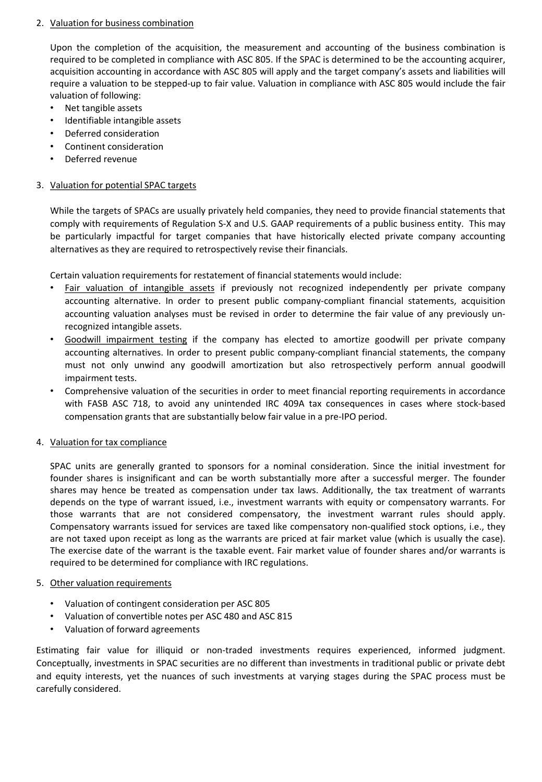## 2. Valuation for business combination

Upon the completion of the acquisition, the measurement and accounting of the business combination is required to be completed in compliance with ASC 805. If the SPAC is determined to be the accounting acquirer, acquisition accounting in accordance with ASC 805 will apply and the target company's assets and liabilities will require a valuation to be stepped-up to fair value. Valuation in compliance with ASC 805 would include the fair valuation of following:

- Net tangible assets
- Identifiable intangible assets
- Deferred consideration
- Continent consideration
- Deferred revenue

## 3. Valuation for potential SPAC targets

While the targets of SPACs are usually privately held companies, they need to provide financial statements that comply with requirements of Regulation S-X and U.S. GAAP requirements of a public business entity. This may be particularly impactful for target companies that have historically elected private company accounting alternatives as they are required to retrospectively revise their financials.

Certain valuation requirements for restatement of financial statements would include:

- Fair valuation of intangible assets if previously not recognized independently per private company accounting alternative. In order to present public company-compliant financial statements, acquisition accounting valuation analyses must be revised in order to determine the fair value of any previously unrecognized intangible assets.
- Goodwill impairment testing if the company has elected to amortize goodwill per private company accounting alternatives. In order to present public company-compliant financial statements, the company must not only unwind any goodwill amortization but also retrospectively perform annual goodwill impairment tests.
- Comprehensive valuation of the securities in order to meet financial reporting requirements in accordance with FASB ASC 718, to avoid any unintended IRC 409A tax consequences in cases where stock-based compensation grants that are substantially below fair value in a pre-IPO period.

## 4. Valuation for tax compliance

SPAC units are generally granted to sponsors for a nominal consideration. Since the initial investment for founder shares is insignificant and can be worth substantially more after a successful merger. The founder shares may hence be treated as compensation under tax laws. Additionally, the tax treatment of warrants depends on the type of warrant issued, i.e., investment warrants with equity or compensatory warrants. For those warrants that are not considered compensatory, the investment warrant rules should apply. Compensatory warrants issued for services are taxed like compensatory non-qualified stock options, i.e., they are not taxed upon receipt as long as the warrants are priced at fair market value (which is usually the case). The exercise date of the warrant is the taxable event. Fair market value of founder shares and/or warrants is required to be determined for compliance with IRC regulations.

## 5. Other valuation requirements

- Valuation of contingent consideration per ASC 805
- Valuation of convertible notes per ASC 480 and ASC 815
- Valuation of forward agreements

Estimating fair value for illiquid or non-traded investments requires experienced, informed judgment. Conceptually, investments in SPAC securities are no different than investments in traditional public or private debt and equity interests, yet the nuances of such investments at varying stages during the SPAC process must be carefully considered.